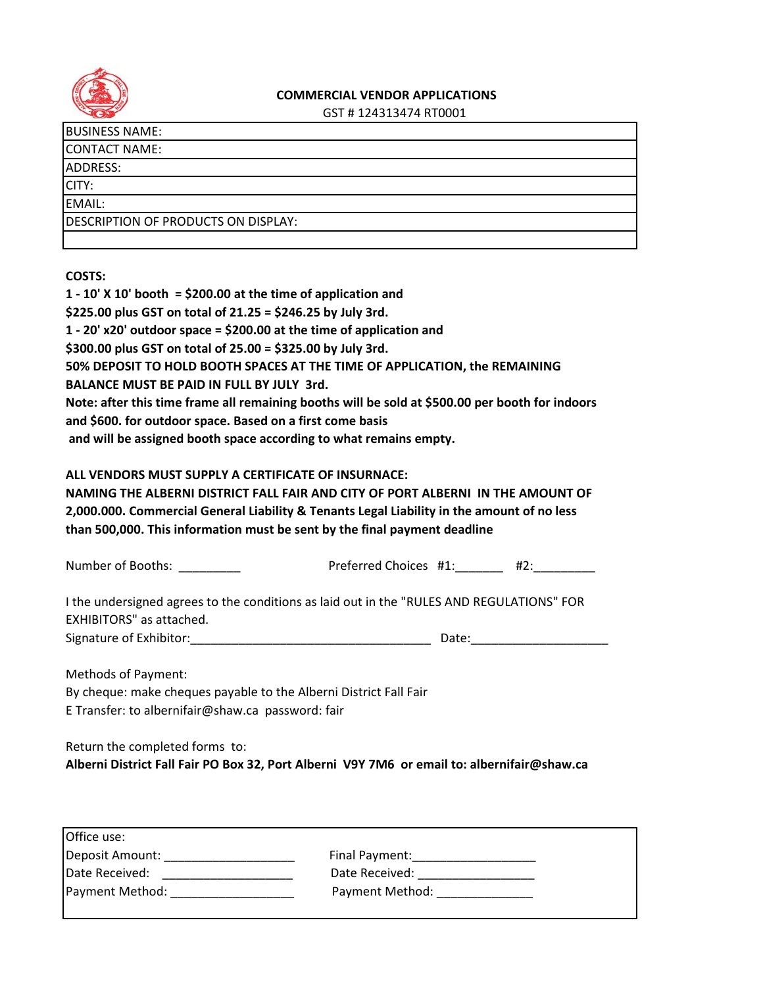

## **COMMERCIAL VENDOR APPLICATIONS**

GST # 124313474 RT0001

CONTACT NAME:

ADDRESS:

CITY:

EMAIL:

DESCRIPTION OF PRODUCTS ON DISPLAY:

**COSTS:**

| 1 - 10' X 10' booth = \$200.00 at the time of application and                                                                                                                                                                                              |  |
|------------------------------------------------------------------------------------------------------------------------------------------------------------------------------------------------------------------------------------------------------------|--|
| \$225.00 plus GST on total of 21.25 = \$246.25 by July 3rd.                                                                                                                                                                                                |  |
| 1 - 20' x20' outdoor space = \$200.00 at the time of application and                                                                                                                                                                                       |  |
| \$300.00 plus GST on total of 25.00 = \$325.00 by July 3rd.                                                                                                                                                                                                |  |
| 50% DEPOSIT TO HOLD BOOTH SPACES AT THE TIME OF APPLICATION, the REMAINING                                                                                                                                                                                 |  |
| <b>BALANCE MUST BE PAID IN FULL BY JULY 3rd.</b>                                                                                                                                                                                                           |  |
| Note: after this time frame all remaining booths will be sold at \$500.00 per booth for indoors<br>and \$600. for outdoor space. Based on a first come basis<br>and will be assigned booth space according to what remains empty.                          |  |
| ALL VENDORS MUST SUPPLY A CERTIFICATE OF INSURNACE:                                                                                                                                                                                                        |  |
|                                                                                                                                                                                                                                                            |  |
| NAMING THE ALBERNI DISTRICT FALL FAIR AND CITY OF PORT ALBERNI IN THE AMOUNT OF<br>2,000.000. Commercial General Liability & Tenants Legal Liability in the amount of no less<br>than 500,000. This information must be sent by the final payment deadline |  |
|                                                                                                                                                                                                                                                            |  |
| I the undersigned agrees to the conditions as laid out in the "RULES AND REGULATIONS" FOR<br><b>EXHIBITORS"</b> as attached.                                                                                                                               |  |

Return the completed forms to:

**Alberni District Fall Fair PO Box 32, Port Alberni V9Y 7M6 or email to: albernifair@shaw.ca**

| Office use:     |                 |
|-----------------|-----------------|
| Deposit Amount: | Final Payment:  |
| Date Received:  | Date Received:  |
| Payment Method: | Payment Method: |
|                 |                 |